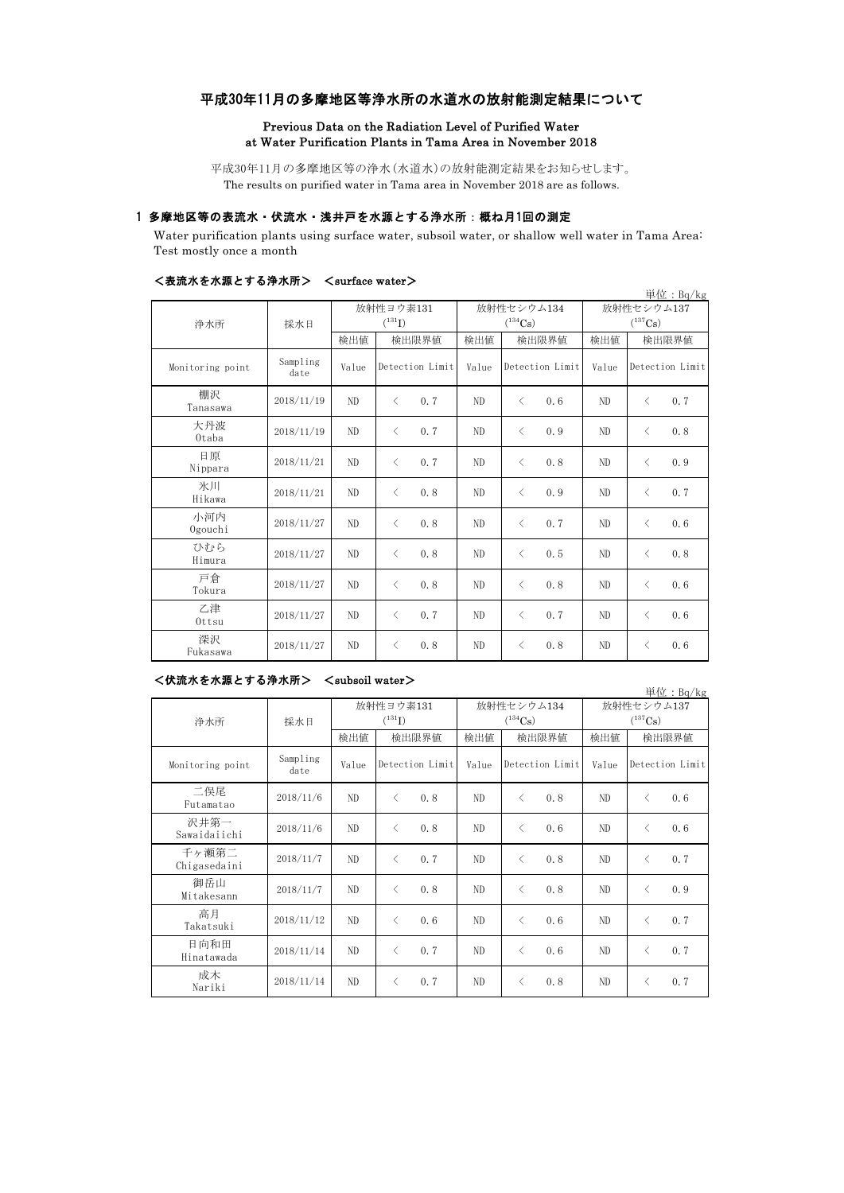# 平成30年11月の多摩地区等浄水所の水道水の放射能測定結果について

#### Previous Data on the Radiation Level of Purified Water at Water Purification Plants in Tama Area in November 2018

平成30年11月の多摩地区等の浄水(水道水)の放射能測定結果をお知らせします。 The results on purified water in Tama area in November 2018 are as follows.

## 1 多摩地区等の表流水・伏流水・浅井戸を水源とする浄水所:概ね月1回の測定

Water purification plants using surface water, subsoil water, or shallow well water in Tama Area: Test mostly once a month

| 、 み クルレンフ、 ヒ」 ブヘホホ ヒ ぅ ゙ も ノ T ィコヽ!ノ! / |                  |                |                          |       |                            |                            | 単位: $Bq/kg$      |  |
|-----------------------------------------|------------------|----------------|--------------------------|-------|----------------------------|----------------------------|------------------|--|
| 浄水所                                     | 採水日              |                | 放射性ヨウ素131<br>$(^{131}I)$ |       | 放射性セシウム134<br>$(^{134}Cs)$ | 放射性セシウム137<br>$(^{137}Cs)$ |                  |  |
|                                         |                  | 検出値            | 検出限界値                    | 検出値   | 検出限界値                      | 検出値                        | 検出限界値            |  |
| Monitoring point                        | Sampling<br>date | Value          | Detection Limit          | Value | Detection Limit            | Value                      | Detection Limit  |  |
| 棚沢<br>Tanasawa                          | 2018/11/19       | ND             | $\langle$<br>0.7         | ND    | $\langle$<br>0.6           | ND                         | $\langle$<br>0.7 |  |
| 大丹波<br>Otaba                            | 2018/11/19       | ND             | 0.7<br>$\langle$         | ND.   | $\langle$<br>0.9           | ND.                        | 0.8<br>$\lt$     |  |
| 日原<br>Nippara                           | 2018/11/21       | ND             | 0.7<br>$\langle$         | ND.   | 0.8<br>$\langle$           | ND.                        | 0.9<br>$\langle$ |  |
| 氷川<br>Hikawa                            | 2018/11/21       | ND             | 0.8<br>$\langle$         | ND    | $\langle$<br>0.9           | ND                         | $\langle$<br>0.7 |  |
| 小河内<br>Ogouchi                          | 2018/11/27       | ND             | 0.8<br>$\langle$         | ND    | $\langle$<br>0.7           | ND                         | $\langle$<br>0.6 |  |
| ひむら<br>Himura                           | 2018/11/27       | ND             | 0.8<br>$\langle$         | ND    | 0.5<br>$\langle$           | ND                         | 0.8<br>$\langle$ |  |
| 戸倉<br>Tokura                            | 2018/11/27       | N <sub>D</sub> | 0.8<br>$\langle$         | ND    | 0.8<br>$\langle$           | ND                         | 0.6<br>$\langle$ |  |
| 乙津<br>Ottsu                             | 2018/11/27       | ND             | 0.7<br>$\langle$         | ND    | 0.7<br>$\langle$           | ND                         | 0.6<br>$\langle$ |  |
| 深沢<br>Fukasawa                          | 2018/11/27       | ND             | 0.8<br>$\langle$         | ND    | 0.8<br>$\langle$           | ND                         | 0.6<br>$\lt$     |  |

## <表流水を水源とする浄水所> <surface water>

#### <伏流水を水源とする浄水所> <subsoil water>

単位:Bq/kg 検出値 検出限界値 検出値 検出限界値 検出値 Monitoring point Sampling<br>date Value Detection Limit Value Detection Limit Value 二俣尾 Futamatao 2018/11/6 ND <sup>&</sup>lt; 0.8 ND <sup>&</sup>lt; 0.8 ND <sup>&</sup>lt; 0.6 沢井第一<br>Sawaidaiichi Sawaidaiichi 2018/11/6 ND <sup>&</sup>lt; 0.8 ND <sup>&</sup>lt; 0.6 ND <sup>&</sup>lt; 0.6 千ヶ瀬第二 十ケ顆男 2018/11/7 ND < 0.7 ND < 0.8 ND < 0.7 御岳山<br>Mitakesann Mitakesann 2018/11/7 ND <sup>&</sup>lt; 0.8 ND <sup>&</sup>lt; 0.8 ND <sup>&</sup>lt; 0.9 高月<br>Takatsuki Takatsuki 2018/11/12 ND <sup>&</sup>lt; 0.6 ND <sup>&</sup>lt; 0.6 ND <sup>&</sup>lt; 0.7 日向和田 Hinatawada 2018/11/14 ND <sup>&</sup>lt; 0.7 ND <sup>&</sup>lt; 0.6 ND <sup>&</sup>lt; 0.7 成木<br>Nariki  $N_{\rm A}$  2018/11/14 ND < 0.7 ND < 0.8 ND < 0.7 放射性ヨウ素131  $(^{131}I)$ 放射性セシウム134  $(^{134}Cs)$ 放射性セシウム137  $(^{137}Cs)$ 検出限界値 検出限界値 検出限界値 Detection Limit Value Detection Limit 浄水所 採水日